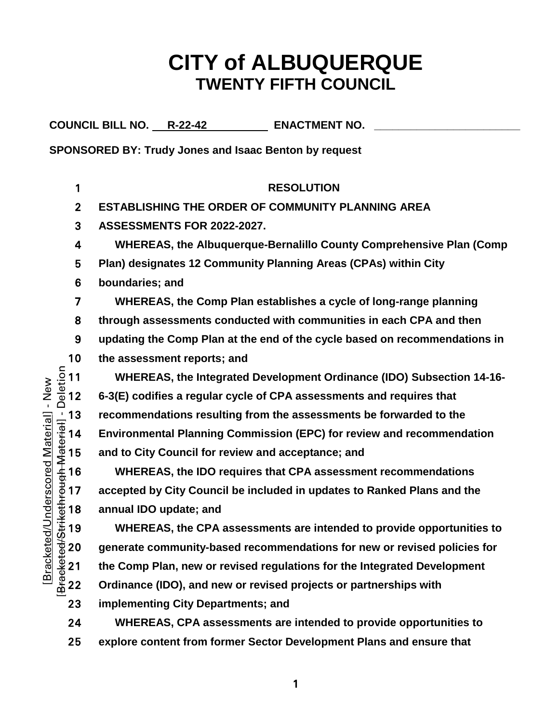# **CITY of ALBUQUERQUE TWENTY FIFTH COUNCIL**

COUNCIL BILL NO. R-22-42 **ENACTMENT NO.** 

**SPONSORED BY: Trudy Jones and Isaac Benton by request**

**RESOLUTION ESTABLISHING THE ORDER OF COMMUNITY PLANNING AREA ASSESSMENTS FOR 2022-2027. WHEREAS, the Albuquerque-Bernalillo County Comprehensive Plan (Comp Plan) designates 12 Community Planning Areas (CPAs) within City boundaries; and WHEREAS, the Comp Plan establishes a cycle of long-range planning through assessments conducted with communities in each CPA and then updating the Comp Plan at the end of the cycle based on recommendations in**  10 the assessment reports; and<br>  $\frac{5}{8}$  11 WHEREAS, the Integrated<br>  $\frac{6}{8}$  12 6-3(E) codifies a regular cycle **WHEREAS, the Integrated Development Ordinance (IDO) Subsection 14-16- 6-3(E) codifies a regular cycle of CPA assessments and requires that**  The assessments be forwarded to the<br>  $\frac{1}{18}$  13 recommendations resulting from the assessments be forwarded to the<br>  $\frac{1}{4}$  14 Environmental Planning Commission (EPC) for review and recommendation<br>  $\frac{1}{4}$  15 and t **Environmental Planning Commission (EPC) for review and recommendation**  and to City Council for review and acceptance; and **WHEREAS, the IDO requires that CPA assessment recommendations accepted by City Council be included in updates to Ranked Plans and the**  <del>4</del><br>
the 18 annual IDO update; and<br>
the CPA a<br>
de 20 generate community-bas<br>
21 the Comp Plan, new or re<br>
de 22 Ordinance (IDO), and new **WHEREAS, the CPA assessments are intended to provide opportunities to generate community-based recommendations for new or revised policies for the Comp Plan, new or revised regulations for the Integrated Development Ordinance (IDO), and new or revised projects or partnerships with implementing City Departments; and**

**WHEREAS, CPA assessments are intended to provide opportunities to explore content from former Sector Development Plans and ensure that**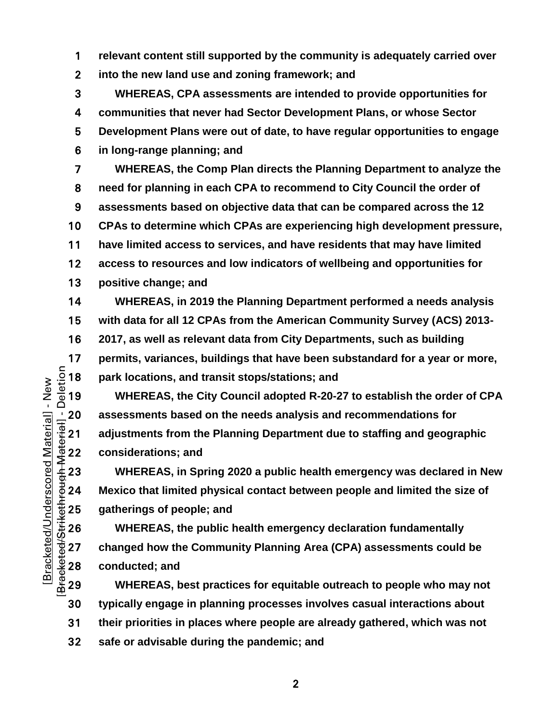**relevant content still supported by the community is adequately carried over into the new land use and zoning framework; and**

**WHEREAS, CPA assessments are intended to provide opportunities for communities that never had Sector Development Plans, or whose Sector Development Plans were out of date, to have regular opportunities to engage in long-range planning; and**

**WHEREAS, the Comp Plan directs the Planning Department to analyze the need for planning in each CPA to recommend to City Council the order of assessments based on objective data that can be compared across the 12 CPAs to determine which CPAs are experiencing high development pressure, have limited access to services, and have residents that may have limited access to resources and low indicators of wellbeing and opportunities for positive change; and**

**WHEREAS, in 2019 the Planning Department performed a needs analysis with data for all 12 CPAs from the American Community Survey (ACS) 2013- 2017, as well as relevant data from City Departments, such as building permits, variances, buildings that have been substandard for a year or more,<br>**  $\frac{5}{2}$  **18 <b>park locations, and transit stops/stations; and**<br>  $\frac{6}{4}$  19 **WHEREAS, the City Council adopted R-20-27 to establish the ord** park locations, and transit stops/stations; and

**WHEREAS, the City Council adopted R-20-27 to establish the order of CPA**  20 assessments based on the needs analysis and recommendations for<br>  $\frac{1}{16}$  21 adjustments from the Planning Department due to staffing and geographic<br>
22 considerations; and<br>
23 WHEREAS, in Spring 2020 a public health **adjustments from the Planning Department due to staffing and geographic considerations; and**

**WHEREAS, in Spring 2020 a public health emergency was declared in New Mexico that limited physical contact between people and limited the size of** 

25 gatherings of people; and<br>
26 WHEREAS, the public h<br>
27 changed how the Commun<br>
28 conducted; and<br>
29 WHEREAS, best practic **WHEREAS, the public health emergency declaration fundamentally changed how the Community Planning Area (CPA) assessments could be**  conducted; and

**WHEREAS, best practices for equitable outreach to people who may not typically engage in planning processes involves casual interactions about their priorities in places where people are already gathered, which was not safe or advisable during the pandemic; and**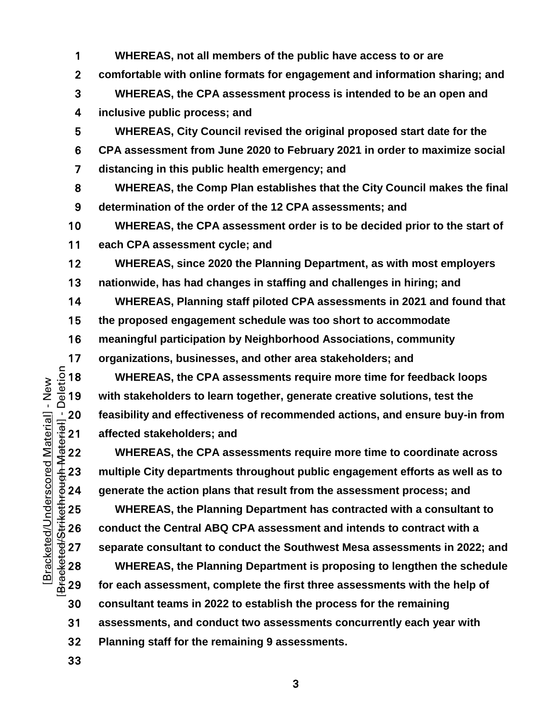**WHEREAS, not all members of the public have access to or are comfortable with online formats for engagement and information sharing; and WHEREAS, the CPA assessment process is intended to be an open and inclusive public process; and WHEREAS, City Council revised the original proposed start date for the CPA assessment from June 2020 to February 2021 in order to maximize social distancing in this public health emergency; and WHEREAS, the Comp Plan establishes that the City Council makes the final determination of the order of the 12 CPA assessments; and WHEREAS, the CPA assessment order is to be decided prior to the start of each CPA assessment cycle; and**

**WHEREAS, since 2020 the Planning Department, as with most employers nationwide, has had changes in staffing and challenges in hiring; and**

**WHEREAS, Planning staff piloted CPA assessments in 2021 and found that the proposed engagement schedule was too short to accommodate meaningful participation by Neighborhood Associations, community** 

17 organizations, businesses, and other area stakeholders; and<br>  $\frac{5}{8}$  18 WHEREAS, the CPA assessments require more time for fe<br>  $\frac{5}{8}$  19 with stakeholders to learn together, generate creative solution **WHEREAS, the CPA assessments require more time for feedback loops with stakeholders to learn together, generate creative solutions, test the affected stakeholders; and** 

<sup>1</sup>/20 **feasibility and effectiveness of recommended actions, and ensure buy-in from<br>**  $\frac{1}{3}$  **affected stakeholders; and<br>
<sup>22</sup> <b>WHEREAS, the CPA assessments require more time to coordinate across**<br>  $\frac{4}{3}$  assessments **WHEREAS, the CPA assessments require more time to coordinate across multiple City departments throughout public engagement efforts as well as to generate the action plans that result from the assessment process; and**

**WHEREAS, the Planning Department has contracted with a consultant to conduct the Central ABQ CPA assessment and intends to contract with a separate consultant to conduct the Southwest Mesa assessments in 2022; and**

**WHEREAS, the Planning Department is proposing to lengthen the schedule for each assessment, complete the first three assessments with the help of consultant teams in 2022 to establish the process for the remaining assessments, and conduct two assessments concurrently each year with Planning staff for the remaining 9 assessments.**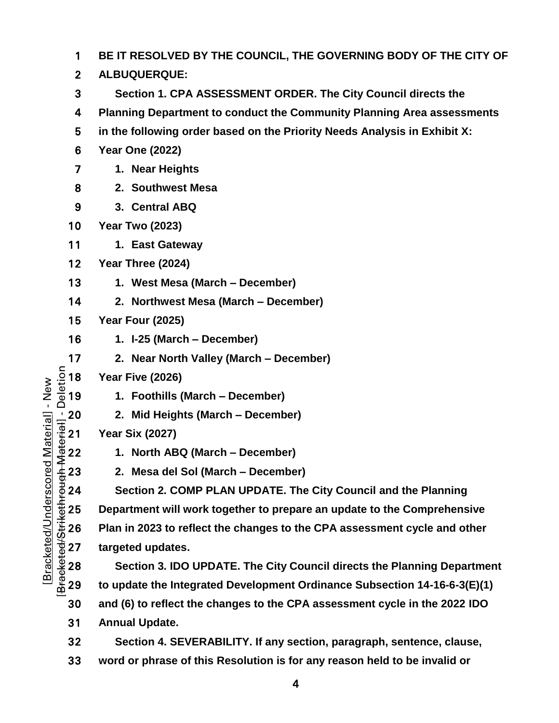| 1                                                                                                                                                                                                                           | BE IT RESOLVED BY THE COUNCIL, THE GOVERNING BODY OF THE CITY OF           |  |  |  |  |  |  |  |
|-----------------------------------------------------------------------------------------------------------------------------------------------------------------------------------------------------------------------------|----------------------------------------------------------------------------|--|--|--|--|--|--|--|
| $\overline{2}$                                                                                                                                                                                                              | ALBUQUERQUE:                                                               |  |  |  |  |  |  |  |
| 3                                                                                                                                                                                                                           | Section 1. CPA ASSESSMENT ORDER. The City Council directs the              |  |  |  |  |  |  |  |
| 4                                                                                                                                                                                                                           | Planning Department to conduct the Community Planning Area assessments     |  |  |  |  |  |  |  |
| 5                                                                                                                                                                                                                           | in the following order based on the Priority Needs Analysis in Exhibit X:  |  |  |  |  |  |  |  |
| 6                                                                                                                                                                                                                           | <b>Year One (2022)</b>                                                     |  |  |  |  |  |  |  |
| 7                                                                                                                                                                                                                           | 1. Near Heights                                                            |  |  |  |  |  |  |  |
| 8                                                                                                                                                                                                                           | 2. Southwest Mesa                                                          |  |  |  |  |  |  |  |
| 9                                                                                                                                                                                                                           | 3. Central ABQ                                                             |  |  |  |  |  |  |  |
| 10                                                                                                                                                                                                                          | <b>Year Two (2023)</b>                                                     |  |  |  |  |  |  |  |
| $11$                                                                                                                                                                                                                        | 1. East Gateway                                                            |  |  |  |  |  |  |  |
| 12                                                                                                                                                                                                                          | Year Three (2024)                                                          |  |  |  |  |  |  |  |
| 13                                                                                                                                                                                                                          | 1. West Mesa (March – December)                                            |  |  |  |  |  |  |  |
| 14                                                                                                                                                                                                                          | 2. Northwest Mesa (March – December)                                       |  |  |  |  |  |  |  |
| 15                                                                                                                                                                                                                          | <b>Year Four (2025)</b>                                                    |  |  |  |  |  |  |  |
| 16                                                                                                                                                                                                                          | 1. I-25 (March – December)                                                 |  |  |  |  |  |  |  |
| 17                                                                                                                                                                                                                          | 2. Near North Valley (March – December)                                    |  |  |  |  |  |  |  |
| Deletion<br>18                                                                                                                                                                                                              | Year Five (2026)                                                           |  |  |  |  |  |  |  |
| Material] - New<br>19                                                                                                                                                                                                       | 1. Foothills (March - December)                                            |  |  |  |  |  |  |  |
| 20                                                                                                                                                                                                                          | 2. Mid Heights (March – December)                                          |  |  |  |  |  |  |  |
| $\frac{1}{4}$<br>$\frac{1}{4}$<br>$\frac{1}{4}$<br>$\frac{1}{4}$<br>$\frac{1}{4}$<br>$\frac{1}{4}$<br><br>$\frac{1}{4}$<br><br><br><br><br><br><br><br><br><br><br><br><br><br><br><br><br><br><br><br><br><br><br><br><br> | <b>Year Six (2027)</b>                                                     |  |  |  |  |  |  |  |
|                                                                                                                                                                                                                             | 1. North ABQ (March – December)                                            |  |  |  |  |  |  |  |
| 23                                                                                                                                                                                                                          | 2. Mesa del Sol (March – December)                                         |  |  |  |  |  |  |  |
| 24                                                                                                                                                                                                                          | Section 2. COMP PLAN UPDATE. The City Council and the Planning             |  |  |  |  |  |  |  |
| 25                                                                                                                                                                                                                          | Department will work together to prepare an update to the Comprehensive    |  |  |  |  |  |  |  |
| Bracketed/Underscored<br>Bracketed/Strikethrough N<br>26                                                                                                                                                                    | Plan in 2023 to reflect the changes to the CPA assessment cycle and other  |  |  |  |  |  |  |  |
| 27                                                                                                                                                                                                                          | targeted updates.                                                          |  |  |  |  |  |  |  |
| 28                                                                                                                                                                                                                          | Section 3. IDO UPDATE. The City Council directs the Planning Department    |  |  |  |  |  |  |  |
| 29                                                                                                                                                                                                                          | to update the Integrated Development Ordinance Subsection 14-16-6-3(E)(1)  |  |  |  |  |  |  |  |
| 30                                                                                                                                                                                                                          | and (6) to reflect the changes to the CPA assessment cycle in the 2022 IDO |  |  |  |  |  |  |  |
| 31                                                                                                                                                                                                                          | <b>Annual Update.</b>                                                      |  |  |  |  |  |  |  |
| 32                                                                                                                                                                                                                          | Section 4. SEVERABILITY. If any section, paragraph, sentence, clause,      |  |  |  |  |  |  |  |

**word or phrase of this Resolution is for any reason held to be invalid or**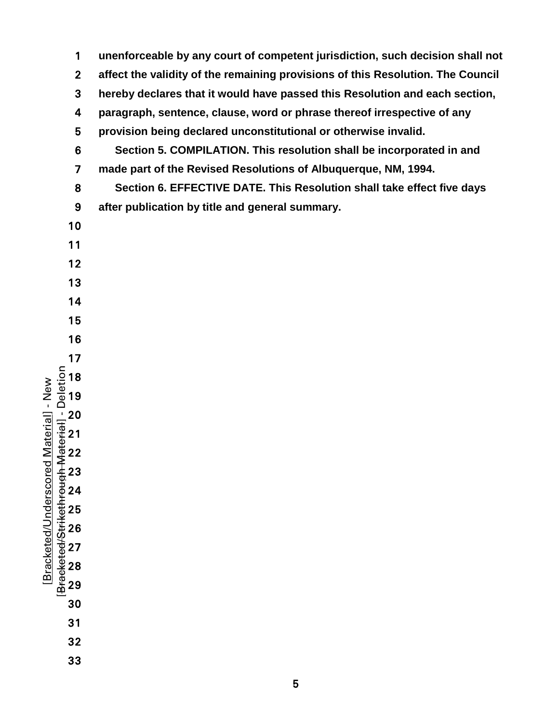[Bracketed/Strikethrough Material] - Deletion **unenforceable by any court of competent jurisdiction, such decision shall not affect the validity of the remaining provisions of this Resolution. The Council hereby declares that it would have passed this Resolution and each section, paragraph, sentence, clause, word or phrase thereof irrespective of any provision being declared unconstitutional or otherwise invalid. Section 5. COMPILATION. This resolution shall be incorporated in and made part of the Revised Resolutions of Albuquerque, NM, 1994. Section 6. EFFECTIVE DATE. This Resolution shall take effect five days after publication by title and general summary.** 

 $\sim$  5  $\sim$  5  $\sim$  5  $\sim$  5  $\sim$  5  $\sim$  5  $\sim$  5  $\sim$  5  $\sim$  5  $\sim$  5  $\sim$  5  $\sim$  5  $\sim$  5  $\sim$  5  $\sim$  5  $\sim$  5  $\sim$  5  $\sim$  5  $\sim$  5  $\sim$  5  $\sim$  5  $\sim$  5  $\sim$  5  $\sim$  5  $\sim$  5  $\sim$  5  $\sim$  5  $\sim$  5  $\sim$  5  $\sim$  5  $\sim$  5  $\sim$ 

[Bracketed/Underscored Material] - New

Bracketed/Underscored Material] - New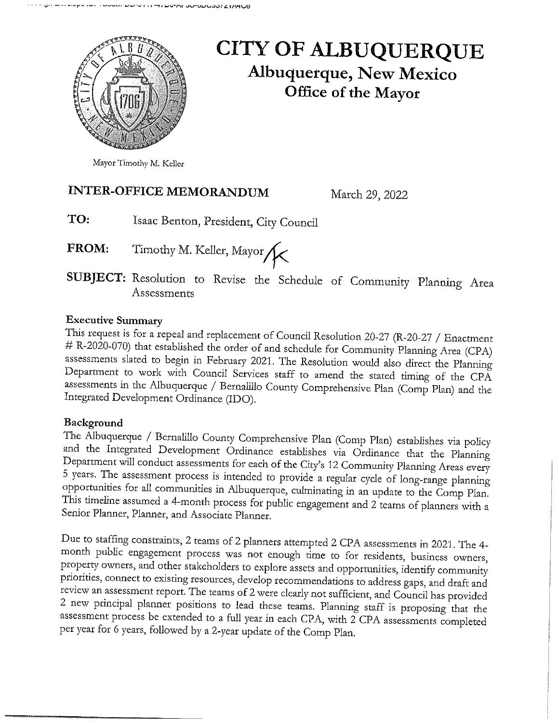

## **CITY OF ALBUQUERQUE Albuquerque, New Mexico** Office of the Mayor

Mayor Timothy M. Keller

## **INTER-OFFICE MEMORANDUM**

March 29, 2022

- TO: Isaac Benton, President, City Council
- Timothy M. Keller, Mayor FROM:

SUBJECT: Resolution to Revise the Schedule of Community Planning Area Assessments

## **Executive Summary**

This request is for a repeal and replacement of Council Resolution 20-27 (R-20-27 / Enactment # R-2020-070) that established the order of and schedule for Community Planning Area (CPA) assessments slated to begin in February 2021. The Resolution would also direct the Planning Department to work with Council Services staff to amend the stated timing of the CPA assessments in the Albuquerque / Bernalillo County Comprehensive Plan (Comp Plan) and the Integrated Development Ordinance (IDO).

## Background

The Albuquerque / Bernalillo County Comprehensive Plan (Comp Plan) establishes via policy and the Integrated Development Ordinance establishes via Ordinance that the Planning Department will conduct assessments for each of the City's 12 Community Planning Areas every 5 years. The assessment process is intended to provide a regular cycle of long-range planning opportunities for all communities in Albuquerque, culminating in an update to the Comp Plan. This timeline assumed a 4-month process for public engagement and 2 teams of planners with a Senior Planner, Planner, and Associate Planner.

Due to staffing constraints, 2 teams of 2 planners attempted 2 CPA assessments in 2021. The 4month public engagement process was not enough time to for residents, business owners, property owners, and other stakeholders to explore assets and opportunities, identify community priorities, connect to existing resources, develop recommendations to address gaps, and draft and review an assessment report. The teams of 2 were clearly not sufficient, and Council has provided 2 new principal planner positions to lead these teams. Planning staff is proposing that the assessment process be extended to a full year in each CPA, with 2 CPA assessments completed per year for 6 years, followed by a 2-year update of the Comp Plan.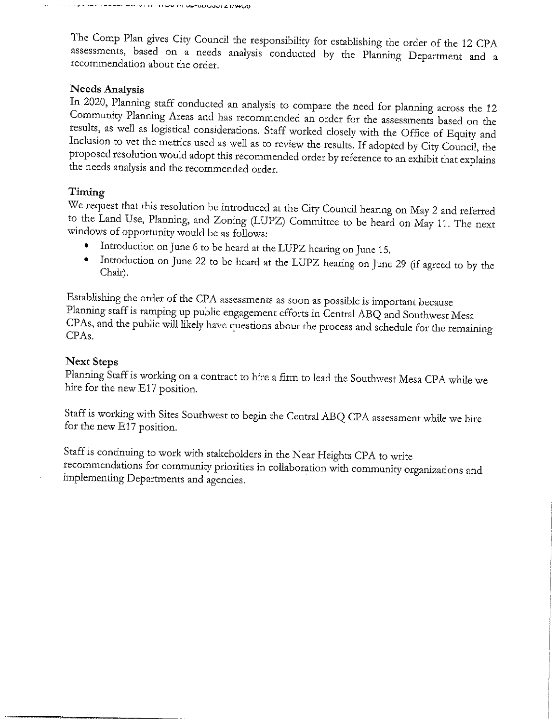The Comp Plan gives City Council the responsibility for establishing the order of the 12 CPA assessments, based on a needs analysis conducted by the Planning Department and a recommendation about the order.

#### **Needs Analysis**

In 2020, Planning staff conducted an analysis to compare the need for planning across the 12 Community Planning Areas and has recommended an order for the assessments based on the results, as well as logistical considerations. Staff worked closely with the Office of Equity and Inclusion to vet the metrics used as well as to review the results. If adopted by City Council, the proposed resolution would adopt this recommended order by reference to an exhibit that explains the needs analysis and the recommended order.

### Timing

We request that this resolution be introduced at the City Council hearing on May 2 and referred to the Land Use, Planning, and Zoning (LUPZ) Committee to be heard on May 11. The next windows of opportunity would be as follows:

- Introduction on June 6 to be heard at the LUPZ hearing on June 15.
- Introduction on June 22 to be heard at the LUPZ hearing on June 29 (if agreed to by the Chair).

Establishing the order of the CPA assessments as soon as possible is important because Planning staff is ramping up public engagement efforts in Central ABQ and Southwest Mesa CPAs, and the public will likely have questions about the process and schedule for the remaining CPA<sub>s</sub>.

#### **Next Steps**

Planning Staff is working on a contract to hire a firm to lead the Southwest Mesa CPA while we hire for the new E17 position.

Staff is working with Sites Southwest to begin the Central ABQ CPA assessment while we hire for the new E17 position.

Staff is continuing to work with stakeholders in the Near Heights CPA to write recommendations for community priorities in collaboration with community organizations and implementing Departments and agencies.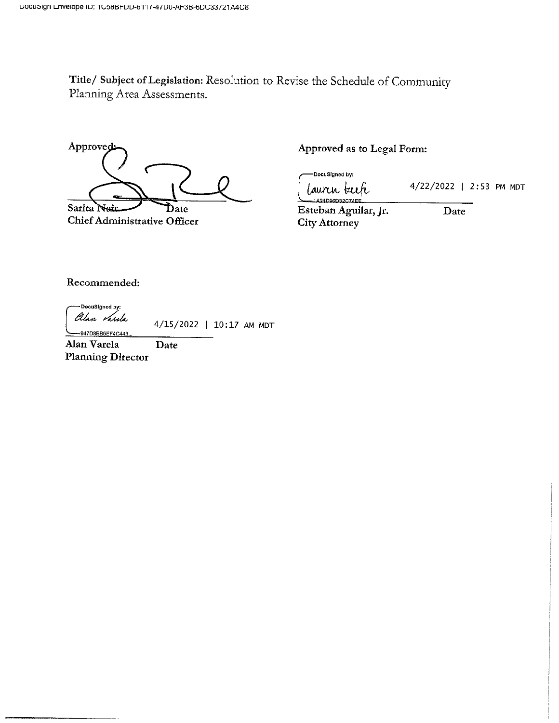Title/ Subject of Legislation: Resolution to Revise the Schedule of Community Planning Area Assessments.

Approved Sarita N Date

**Chief Administrative Officer** 

Approved as to Legal Form:

DocuSigned by: laurir keih

4/22/2022 | 2:53 PM MDT

1.421D96D32CZ4EI Esteban Aguilar, Jr. City Attorney

Date

Recommended:

DocuSigned by: alan *Varda* 

-947D8BB6EF4C443

4/15/2022 | 10:17 AM MDT

Alan Varela Date **Planning Director**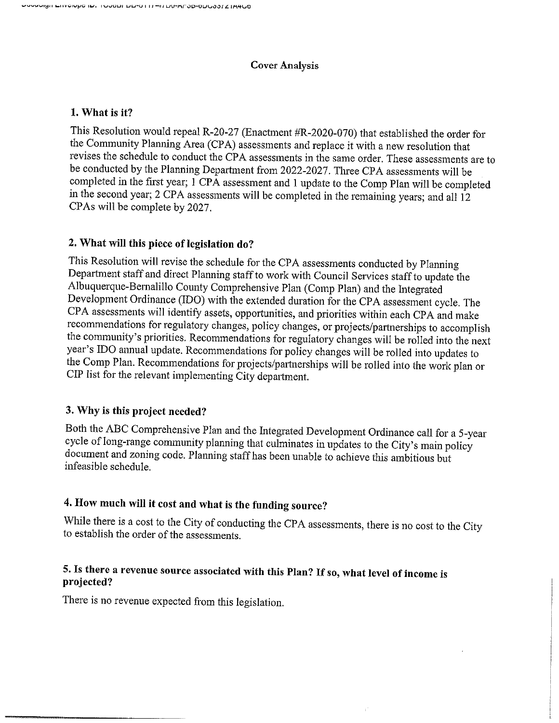#### **Cover Analysis**

### 1. What is it?

This Resolution would repeal R-20-27 (Enactment #R-2020-070) that established the order for the Community Planning Area (CPA) assessments and replace it with a new resolution that revises the schedule to conduct the CPA assessments in the same order. These assessments are to be conducted by the Planning Department from 2022-2027. Three CPA assessments will be completed in the first year; 1 CPA assessment and 1 update to the Comp Plan will be completed in the second year; 2 CPA assessments will be completed in the remaining years; and all 12 CPAs will be complete by 2027.

## 2. What will this piece of legislation do?

This Resolution will revise the schedule for the CPA assessments conducted by Planning Department staff and direct Planning staff to work with Council Services staff to update the Albuquerque-Bernalillo County Comprehensive Plan (Comp Plan) and the Integrated Development Ordinance (IDO) with the extended duration for the CPA assessment cycle. The CPA assessments will identify assets, opportunities, and priorities within each CPA and make recommendations for regulatory changes, policy changes, or projects/partnerships to accomplish the community's priorities. Recommendations for regulatory changes will be rolled into the next year's IDO annual update. Recommendations for policy changes will be rolled into updates to the Comp Plan. Recommendations for projects/partnerships will be rolled into the work plan or CIP list for the relevant implementing City department.

## 3. Why is this project needed?

Both the ABC Comprehensive Plan and the Integrated Development Ordinance call for a 5-year cycle of long-range community planning that culminates in updates to the City's main policy document and zoning code. Planning staff has been unable to achieve this ambitious but infeasible schedule.

## 4. How much will it cost and what is the funding source?

While there is a cost to the City of conducting the CPA assessments, there is no cost to the City to establish the order of the assessments.

## 5. Is there a revenue source associated with this Plan? If so, what level of income is projected?

There is no revenue expected from this legislation.